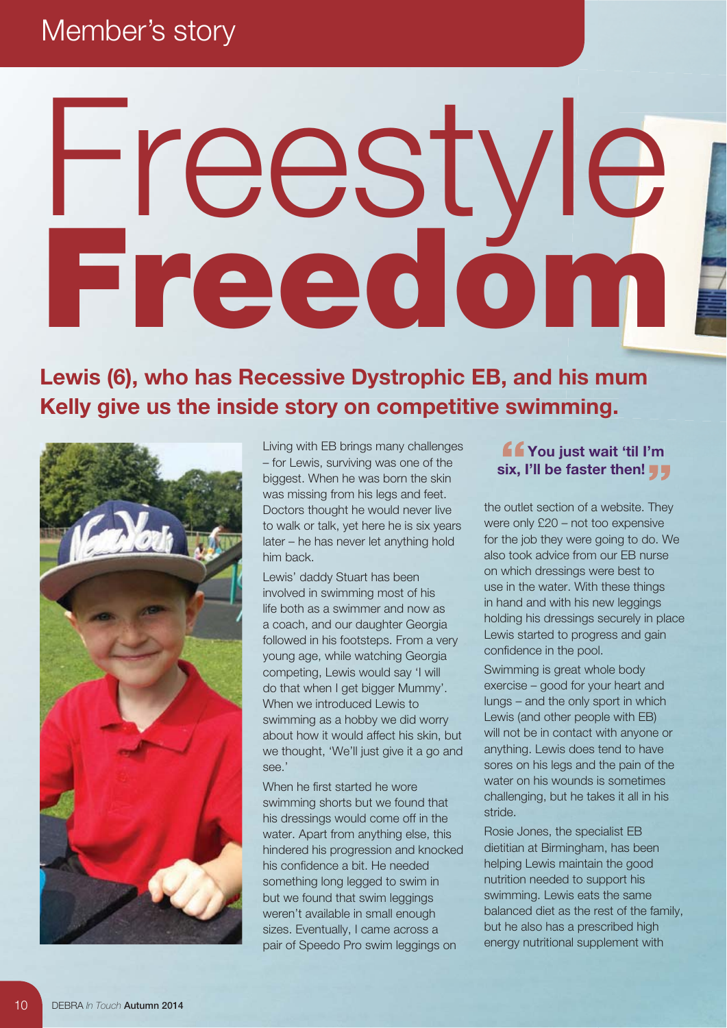## Member's story

## Ereedom<br>Freedom<br>Kelly give us the inside story on competitive swimming. **Freedom**

Lewis (6), who has Recessive Dystrophic EB, and his mum **Kelly give us the inside story on competitive swimming.** 



Living with EB brings many challenges – for Lewis, surviving was one of the biggest. When he was born the skin was missing from his legs and feet. Doctors thought he would never live to walk or talk, yet here he is six years later – he has never let anything hold him back.

Lewis' daddy Stuart has been involved in swimming most of his life both as a swimmer and now as a coach, and our daughter Georgia followed in his footsteps. From a very young age, while watching Georgia competing, Lewis would say 'I will do that when I get bigger Mummy'. When we introduced Lewis to swimming as a hobby we did worry about how it would affect his skin, but we thought, 'We'll just give it a go and see.'

When he first started he wore swimming shorts but we found that his dressings would come off in the water. Apart from anything else, this hindered his progression and knocked his confidence a bit. He needed something long legged to swim in but we found that swim leggings weren't available in small enough sizes. Eventually, I came across a pair of Speedo Pro swim leggings on

## **You just wait 'til I'm I'm six, I'll be faster then!**

the outlet section of a website. They were only £20 – not too expensive for the job they were going to do. We also took advice from our EB nurse on which dressings were best to use in the water. With these things in hand and with his new leggings holding his dressings securely in place Lewis started to progress and gain confidence in the pool.

Swimming is great whole body exercise – good for your heart and lungs – and the only sport in which Lewis (and other people with EB) will not be in contact with anyone or anything. Lewis does tend to have sores on his legs and the pain of the water on his wounds is sometimes challenging, but he takes it all in his stride.

Rosie Jones, the specialist EB dietitian at Birmingham, has been helping Lewis maintain the good nutrition needed to support his swimming. Lewis eats the same balanced diet as the rest of the family, but he also has a prescribed high energy nutritional supplement with